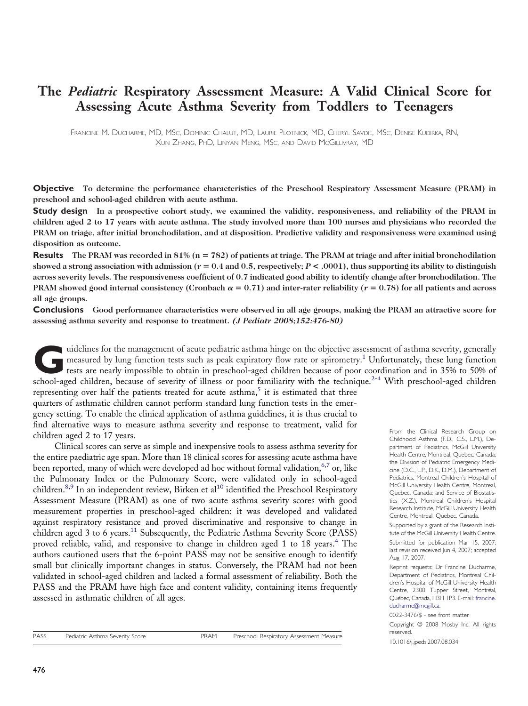# **The** *Pediatric* **Respiratory Assessment Measure: A Valid Clinical Score for Assessing Acute Asthma Severity from Toddlers to Teenagers**

FRANCINE M. DUCHARME, MD, MSC, DOMINIC CHALUT, MD, LAURIE PLOTNICK, MD, CHERYL SAVDIE, MSC, DENISE KUDIRKA, RN, XUN ZHANG, PHD, LINYAN MENG, MSC, AND DAVID MCGILLIVRAY, MD

**Objective To determine the performance characteristics of the Preschool Respiratory Assessment Measure (PRAM) in preschool and school-aged children with acute asthma.**

Study design In a prospective cohort study, we examined the validity, responsiveness, and reliability of the PRAM in children aged 2 to 17 years with acute asthma. The study involved more than 100 nurses and physicians who recorded the PRAM on triage, after initial bronchodilation, and at disposition. Predictive validity and responsiveness were examined using **disposition as outcome.**

**Results** The PRAM was recorded in  $81\%$  ( $n = 782$ ) of patients at triage. The PRAM at triage and after initial bronchodilation showed a strong association with admission ( $r = 0.4$  and 0.5, respectively;  $P < .0001$ ), thus supporting its ability to distinguish across severity levels. The responsiveness coefficient of 0.7 indicated good ability to identify change after bronchodilation. The PRAM showed good internal consistency (Cronbach  $\alpha = 0.71$ ) and inter-rater reliability ( $r = 0.78$ ) for all patients and across **all age groups.**

**Conclusions** Good performance characteristics were observed in all age groups, making the PRAM an attractive score for **assessing asthma severity and response to treatment.** *(J Pediatr 2008;152:476-80)*

uidelines for the management of acute pediatric asthma hinge on the objective assessment of asthma severity, generally<br>measured by lung function tests such as peak expiratory flow rate or spirometry.<sup>1</sup> Unfortunately, thes measured by lung function tests such as peak expiratory flow rate or spirometry.<sup>[1](#page-4-0)</sup> Unfortunately, these lung function tests are nearly impossible to obtain in preschool-aged children because of poor coordination and in 35% to 50% of school-aged children, because of severity of illness or poor familiarity with the technique.<sup>[2-4](#page-4-0)</sup> With preschool-aged children

representing over half the patients treated for acute asthma,<sup>[5](#page-4-0)</sup> it is estimated that three quarters of asthmatic children cannot perform standard lung function tests in the emergency setting. To enable the clinical application of asthma guidelines, it is thus crucial to find alternative ways to measure asthma severity and response to treatment, valid for children aged 2 to 17 years.

Clinical scores can serve as simple and inexpensive tools to assess asthma severity for the entire paediatric age span. More than 18 clinical scores for assessing acute asthma have been reported, many of which were developed ad hoc without formal validation,  $6.7$  or, like the Pulmonary Index or the Pulmonary Score, were validated only in school-aged children.<sup>[8,9](#page-4-0)</sup> In an independent review, Birken et al<sup>[10](#page-4-0)</sup> identified the Preschool Respiratory Assessment Measure (PRAM) as one of two acute asthma severity scores with good measurement properties in preschool-aged children: it was developed and validated against respiratory resistance and proved discriminative and responsive to change in children aged 3 to 6 years.<sup>11</sup> Subsequently, the Pediatric Asthma Severity Score (PASS) proved reliable, valid, and responsive to change in children aged 1 to 18 years.[4](#page-4-0) The authors cautioned users that the 6-point PASS may not be sensitive enough to identify small but clinically important changes in status. Conversely, the PRAM had not been validated in school-aged children and lacked a formal assessment of reliability. Both the PASS and the PRAM have high face and content validity, containing items frequently assessed in asthmatic children of all ages.

Supported by a grant of the Research Institute of the McGill University Health Centre. Submitted for publication Mar 15, 2007; last revision received Jun 4, 2007; accepted Aug 17, 2007.

Reprint requests: Dr Francine Ducharme, Department of Pediatrics, Montreal Children's Hospital of McGill University Health Centre, 2300 Tupper Street, Montréal, Québec, Canada, H3H 1P3. E-mail: [francine.](mail to:francine.ducharme@mcgill.ca) [ducharme@mcgill.ca](mail to:francine.ducharme@mcgill.ca).

0022-3476/\$ - see front matter Copyright © 2008 Mosby Inc. All rights reserved. 10.1016/j.jpeds.2007.08.034

From the Clinical Research Group on Childhood Asthma (F.D., C.S., L.M.), Department of Pediatrics, McGill University Health Centre, Montreal, Quebec, Canada; the Division of Pediatric Emergency Medicine (D.C., L.P., D.K., D.M.), Department of Pediatrics, Montreal Children's Hospital of McGill University Health Centre, Montreal, Quebec, Canada; and Service of Biostatistics (X.Z.), Montreal Children's Hospital Research Institute, McGill University Health Centre, Montreal, Quebec, Canada.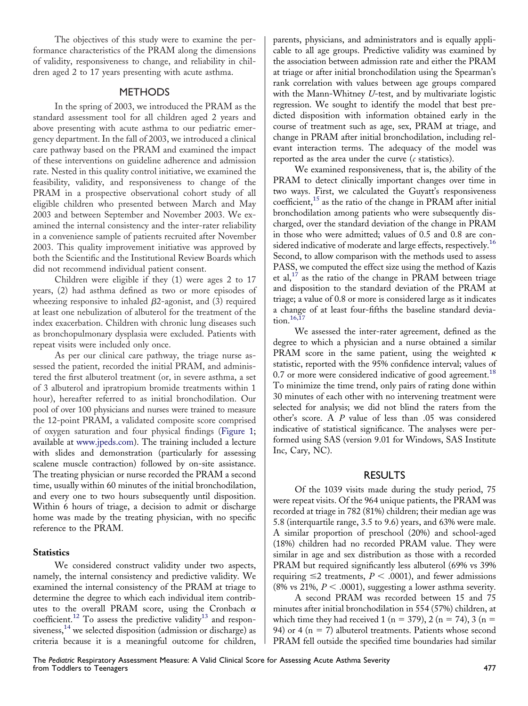The objectives of this study were to examine the performance characteristics of the PRAM along the dimensions of validity, responsiveness to change, and reliability in children aged 2 to 17 years presenting with acute asthma.

# **METHODS**

In the spring of 2003, we introduced the PRAM as the standard assessment tool for all children aged 2 years and above presenting with acute asthma to our pediatric emergency department. In the fall of 2003, we introduced a clinical care pathway based on the PRAM and examined the impact of these interventions on guideline adherence and admission rate. Nested in this quality control initiative, we examined the feasibility, validity, and responsiveness to change of the PRAM in a prospective observational cohort study of all eligible children who presented between March and May 2003 and between September and November 2003. We examined the internal consistency and the inter-rater reliability in a convenience sample of patients recruited after November 2003. This quality improvement initiative was approved by both the Scientific and the Institutional Review Boards which did not recommend individual patient consent.

Children were eligible if they (1) were ages 2 to 17 years, (2) had asthma defined as two or more episodes of wheezing responsive to inhaled  $\beta$ 2-agonist, and (3) required at least one nebulization of albuterol for the treatment of the index exacerbation. Children with chronic lung diseases such as bronchopulmonary dysplasia were excluded. Patients with repeat visits were included only once.

As per our clinical care pathway, the triage nurse assessed the patient, recorded the initial PRAM, and administered the first albuterol treatment (or, in severe asthma, a set of 3 albuterol and ipratropium bromide treatments within 1 hour), hereafter referred to as initial bronchodilation. Our pool of over 100 physicians and nurses were trained to measure the 12-point PRAM, a validated composite score comprised of oxygen saturation and four physical findings [\(Figure 1;](#page-5-0) available at [www.jpeds.com\)](http://www.jpeds.com). The training included a lecture with slides and demonstration (particularly for assessing scalene muscle contraction) followed by on-site assistance. The treating physician or nurse recorded the PRAM a second time, usually within 60 minutes of the initial bronchodilation, and every one to two hours subsequently until disposition. Within 6 hours of triage, a decision to admit or discharge home was made by the treating physician, with no specific reference to the PRAM.

### **Statistics**

We considered construct validity under two aspects, namely, the internal consistency and predictive validity. We examined the internal consistency of the PRAM at triage to determine the degree to which each individual item contributes to the overall PRAM score, using the Cronbach  $\alpha$ coefficient.<sup>[12](#page-4-0)</sup> To assess the predictive validity<sup>[13](#page-4-0)</sup> and respon-siveness,<sup>[14](#page-4-0)</sup> we selected disposition (admission or discharge) as criteria because it is a meaningful outcome for children, parents, physicians, and administrators and is equally applicable to all age groups. Predictive validity was examined by the association between admission rate and either the PRAM at triage or after initial bronchodilation using the Spearman's rank correlation with values between age groups compared with the Mann-Whitney *U*-test, and by multivariate logistic regression. We sought to identify the model that best predicted disposition with information obtained early in the course of treatment such as age, sex, PRAM at triage, and change in PRAM after initial bronchodilation, including relevant interaction terms. The adequacy of the model was reported as the area under the curve (*c* statistics).

We examined responsiveness, that is, the ability of the PRAM to detect clinically important changes over time in two ways. First, we calculated the Guyatt's responsiveness coefficient, $15$  as the ratio of the change in PRAM after initial bronchodilation among patients who were subsequently discharged, over the standard deviation of the change in PRAM in those who were admitted; values of 0.5 and 0.8 are con-sidered indicative of moderate and large effects, respectively.<sup>[16](#page-4-0)</sup> Second, to allow comparison with the methods used to assess PASS, we computed the effect size using the method of Kazis et al,<sup>[17](#page-4-0)</sup> as the ratio of the change in PRAM between triage and disposition to the standard deviation of the PRAM at triage; a value of 0.8 or more is considered large as it indicates a change of at least four-fifths the baseline standard devia-tion.<sup>[16,17](#page-4-0)</sup>

We assessed the inter-rater agreement, defined as the degree to which a physician and a nurse obtained a similar PRAM score in the same patient, using the weighted  $\kappa$ statistic, reported with the 95% confidence interval; values of 0.7 or more were considered indicative of good agreement.<sup>[18](#page-4-0)</sup> To minimize the time trend, only pairs of rating done within 30 minutes of each other with no intervening treatment were selected for analysis; we did not blind the raters from the other's score. A *P* value of less than .05 was considered indicative of statistical significance. The analyses were performed using SAS (version 9.01 for Windows, SAS Institute Inc, Cary, NC).

## RESULTS

Of the 1039 visits made during the study period, 75 were repeat visits. Of the 964 unique patients, the PRAM was recorded at triage in 782 (81%) children; their median age was 5.8 (interquartile range, 3.5 to 9.6) years, and 63% were male. A similar proportion of preschool (20%) and school-aged (18%) children had no recorded PRAM value. They were similar in age and sex distribution as those with a recorded PRAM but required significantly less albuterol (69% vs 39% requiring  $\leq$  2 treatments,  $P < .0001$ ), and fewer admissions (8% vs 21%,  $P < .0001$ ), suggesting a lower asthma severity.

A second PRAM was recorded between 15 and 75 minutes after initial bronchodilation in 554 (57%) children, at which time they had received 1 (n = 379), 2 (n = 74), 3 (n = 94) or 4 ( $n = 7$ ) albuterol treatments. Patients whose second PRAM fell outside the specified time boundaries had similar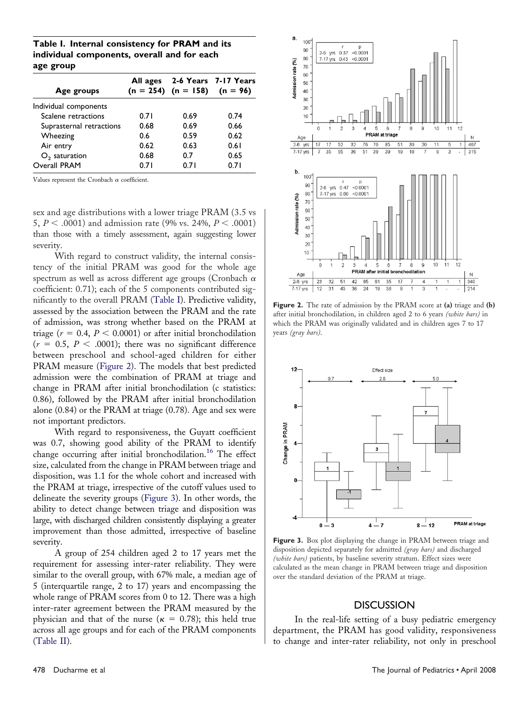**Table I. Internal consistency for PRAM and its individual components, overall and for each age group**

| All ages |      | 2-6 Years 7-17 Years               |
|----------|------|------------------------------------|
|          |      |                                    |
| 0.71     | 0.69 | 0.74                               |
| 0.68     | 0.69 | 0.66                               |
| 0.6      | 0.59 | 0.62                               |
| 0.62     | 0.63 | 0.61                               |
| 0.68     | 0.7  | 0.65                               |
| 0.71     | 0.71 | 0.71                               |
|          |      | $(n = 254)$ $(n = 158)$ $(n = 96)$ |

Values represent the Cronbach  $\alpha$  coefficient.

sex and age distributions with a lower triage PRAM (3.5 vs 5,  $P < .0001$ ) and admission rate (9% vs. 24%,  $P < .0001$ ) than those with a timely assessment, again suggesting lower severity.

With regard to construct validity, the internal consistency of the initial PRAM was good for the whole age spectrum as well as across different age groups (Cronbach  $\alpha$ coefficient: 0.71); each of the 5 components contributed significantly to the overall PRAM (Table I). Predictive validity, assessed by the association between the PRAM and the rate of admission, was strong whether based on the PRAM at triage ( $r = 0.4$ ,  $P < 0.0001$ ) or after initial bronchodilation  $(r = 0.5, P < .0001)$ ; there was no significant difference between preschool and school-aged children for either PRAM measure (Figure 2). The models that best predicted admission were the combination of PRAM at triage and change in PRAM after initial bronchodilation (c statistics: 0.86), followed by the PRAM after initial bronchodilation alone (0.84) or the PRAM at triage (0.78). Age and sex were not important predictors.

With regard to responsiveness, the Guyatt coefficient was 0.7, showing good ability of the PRAM to identify change occurring after initial bronchodilation.<sup>[16](#page-4-0)</sup> The effect size, calculated from the change in PRAM between triage and disposition, was 1.1 for the whole cohort and increased with the PRAM at triage, irrespective of the cutoff values used to delineate the severity groups (Figure 3). In other words, the ability to detect change between triage and disposition was large, with discharged children consistently displaying a greater improvement than those admitted, irrespective of baseline severity.

A group of 254 children aged 2 to 17 years met the requirement for assessing inter-rater reliability. They were similar to the overall group, with 67% male, a median age of 5 (interquartile range, 2 to 17) years and encompassing the whole range of PRAM scores from 0 to 12. There was a high inter-rater agreement between the PRAM measured by the physician and that of the nurse ( $\kappa = 0.78$ ); this held true across all age groups and for each of the PRAM components [\(Table II\)](#page-3-0).



**Figure 2.** The rate of admission by the PRAM score at **(a)** triage and **(b)** after initial bronchodilation, in children aged 2 to 6 years *(white bars)* in which the PRAM was originally validated and in children ages 7 to 17 years *(gray bars)*.



**Figure 3.** Box plot displaying the change in PRAM between triage and disposition depicted separately for admitted *(gray bars)* and discharged *(white bars)* patients, by baseline severity stratum. Effect sizes were calculated as the mean change in PRAM between triage and disposition over the standard deviation of the PRAM at triage.

#### **DISCUSSION**

In the real-life setting of a busy pediatric emergency department, the PRAM has good validity, responsiveness to change and inter-rater reliability, not only in preschool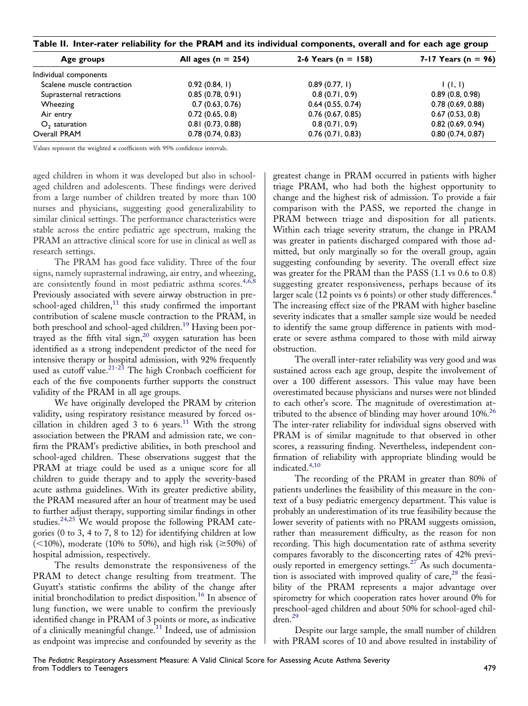<span id="page-3-0"></span>

| Age groups                          | All ages ( $n = 254$ ) | 2-6 Years ( $n = 158$ ) | 7-17 Years (n = $96$ ) |  |
|-------------------------------------|------------------------|-------------------------|------------------------|--|
| Individual components               |                        |                         |                        |  |
| Scalene muscle contraction          | 0.92(0.84, 1)          | 0.89(0.77, 1)           | (1, 1)                 |  |
| Suprasternal retractions            | 0.85(0.78, 0.91)       | 0.8(0.71, 0.9)          | 0.89(0.8, 0.98)        |  |
| Wheezing                            | 0.7(0.63, 0.76)        | 0.64(0.55, 0.74)        | 0.78(0.69, 0.88)       |  |
| Air entry                           | 0.72(0.65, 0.8)        | 0.76(0.67, 0.85)        | 0.67(0.53, 0.8)        |  |
| 0.81(0.73, 0.88)<br>$O2$ saturation |                        | 0.8(0.71, 0.9)          | 0.82(0.69, 0.94)       |  |
| Overall PRAM<br>0.78(0.74, 0.83)    |                        | 0.76(0.71, 0.83)        | 0.80(0.74, 0.87)       |  |

Values represent the weighted  $\kappa$  coefficients with 95% confidence intervals.

aged children in whom it was developed but also in schoolaged children and adolescents. These findings were derived from a large number of children treated by more than 100 nurses and physicians, suggesting good generalizability to similar clinical settings. The performance characteristics were stable across the entire pediatric age spectrum, making the PRAM an attractive clinical score for use in clinical as well as research settings.

The PRAM has good face validity. Three of the four signs, namely suprasternal indrawing, air entry, and wheezing, are consistently found in most pediatric asthma scores.<sup>[4,6,8](#page-4-0)</sup> Previously associated with severe airway obstruction in preschool-aged children, $^{11}$  $^{11}$  $^{11}$  this study confirmed the important contribution of scalene muscle contraction to the PRAM, in both preschool and school-aged children.[19](#page-4-0) Having been portrayed as the fifth vital sign,[20](#page-4-0) oxygen saturation has been identified as a strong independent predictor of the need for intensive therapy or hospital admission, with 92% frequently used as cutoff value.<sup>[21-23](#page-4-0)</sup> The high Cronbach coefficient for each of the five components further supports the construct validity of the PRAM in all age groups.

We have originally developed the PRAM by criterion validity, using respiratory resistance measured by forced os-cillation in children aged 3 to 6 years.<sup>[11](#page-4-0)</sup> With the strong association between the PRAM and admission rate, we confirm the PRAM's predictive abilities, in both preschool and school-aged children. These observations suggest that the PRAM at triage could be used as a unique score for all children to guide therapy and to apply the severity-based acute asthma guidelines. With its greater predictive ability, the PRAM measured after an hour of treatment may be used to further adjust therapy, supporting similar findings in other studies.[24,25](#page-4-0) We would propose the following PRAM categories (0 to 3, 4 to 7, 8 to 12) for identifying children at low  $(<10\%)$ , moderate (10% to 50%), and high risk ( $\geq$ 50%) of hospital admission, respectively.

The results demonstrate the responsiveness of the PRAM to detect change resulting from treatment. The Guyatt's statistic confirms the ability of the change after initial bronchodilation to predict disposition.[16](#page-4-0) In absence of lung function, we were unable to confirm the previously identified change in PRAM of 3 points or more, as indicative of a clinically meaningful change.<sup>[11](#page-4-0)</sup> Indeed, use of admission as endpoint was imprecise and confounded by severity as the

greatest change in PRAM occurred in patients with higher triage PRAM, who had both the highest opportunity to change and the highest risk of admission. To provide a fair comparison with the PASS, we reported the change in PRAM between triage and disposition for all patients. Within each triage severity stratum, the change in PRAM was greater in patients discharged compared with those admitted, but only marginally so for the overall group, again suggesting confounding by severity. The overall effect size was greater for the PRAM than the PASS (1.1 vs 0.6 to 0.8) suggesting greater responsiveness, perhaps because of its larger scale (12 points vs 6 points) or other study differences.<sup>[4](#page-4-0)</sup> The increasing effect size of the PRAM with higher baseline severity indicates that a smaller sample size would be needed to identify the same group difference in patients with moderate or severe asthma compared to those with mild airway obstruction.

The overall inter-rater reliability was very good and was sustained across each age group, despite the involvement of over a 100 different assessors. This value may have been overestimated because physicians and nurses were not blinded to each other's score. The magnitude of overestimation attributed to the absence of blinding may hover around 10%.[26](#page-4-0) The inter-rater reliability for individual signs observed with PRAM is of similar magnitude to that observed in other scores, a reassuring finding. Nevertheless, independent confirmation of reliability with appropriate blinding would be indicated.<sup>[4,10](#page-4-0)</sup>

The recording of the PRAM in greater than 80% of patients underlines the feasibility of this measure in the context of a busy pediatric emergency department. This value is probably an underestimation of its true feasibility because the lower severity of patients with no PRAM suggests omission, rather than measurement difficulty, as the reason for non recording. This high documentation rate of asthma severity compares favorably to the disconcerting rates of 42% previously reported in emergency settings.[27](#page-4-0) As such documentation is associated with improved quality of care,  $28$  the feasibility of the PRAM represents a major advantage over spirometry for which cooperation rates hover around 0% for preschool-aged children and about 50% for school-aged chil- $\text{dren.}^{29}$  $\text{dren.}^{29}$  $\text{dren.}^{29}$ 

Despite our large sample, the small number of children with PRAM scores of 10 and above resulted in instability of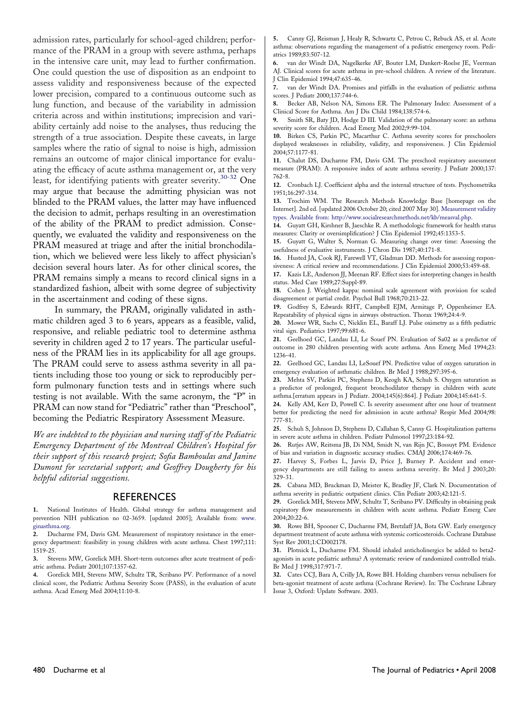<span id="page-4-0"></span>admission rates, particularly for school-aged children; performance of the PRAM in a group with severe asthma, perhaps in the intensive care unit, may lead to further confirmation. One could question the use of disposition as an endpoint to assess validity and responsiveness because of the expected lower precision, compared to a continuous outcome such as lung function, and because of the variability in admission criteria across and within institutions; imprecision and variability certainly add noise to the analyses, thus reducing the strength of a true association. Despite these caveats, in large samples where the ratio of signal to noise is high, admission remains an outcome of major clinical importance for evaluating the efficacy of acute asthma management or, at the very least, for identifying patients with greater severity.<sup>30-32</sup> One may argue that because the admitting physician was not blinded to the PRAM values, the latter may have influenced the decision to admit, perhaps resulting in an overestimation of the ability of the PRAM to predict admission. Consequently, we evaluated the validity and responsiveness on the PRAM measured at triage and after the initial bronchodilation, which we believed were less likely to affect physician's decision several hours later. As for other clinical scores, the PRAM remains simply a means to record clinical signs in a standardized fashion, albeit with some degree of subjectivity in the ascertainment and coding of these signs.

In summary, the PRAM, originally validated in asthmatic children aged 3 to 6 years, appears as a feasible, valid, responsive, and reliable pediatric tool to determine asthma severity in children aged 2 to 17 years. The particular usefulness of the PRAM lies in its applicability for all age groups. The PRAM could serve to assess asthma severity in all patients including those too young or sick to reproducibly perform pulmonary function tests and in settings where such testing is not available. With the same acronym, the "P" in PRAM can now stand for "Pediatric" rather than "Preschool", becoming the Pediatric Respiratory Assessment Measure.

*We are indebted to the physician and nursing staff of the Pediatric Emergency Department of the Montreal Children's Hospital for their support of this research project; Sofia Bamboulas and Janine Dumont for secretarial support; and Geoffrey Dougherty for his helpful editorial suggestions.*

#### **REFERENCES**

**1.** National Institutes of Health. Global strategy for asthma management and prevention NIH publication no 02-3659. [updated 2005]; Available from: [www.](http://www.ginasthma.org) [ginasthma.org.](http://www.ginasthma.org)

**2.** Ducharme FM, Davis GM. Measurement of respiratory resistance in the emergency department: feasibility in young children with acute asthma. Chest 1997;111: 1519-25.

**3.** Stevens MW, Gorelick MH. Short-term outcomes after acute treatment of pediatric asthma. Pediatr 2001;107:1357-62.

**4.** Gorelick MH, Stevens MW, Schultz TR, Scribano PV. Performance of a novel clinical score, the Pediatric Asthma Severity Score (PASS), in the evaluation of acute asthma. Acad Emerg Med 2004;11:10-8.

**5.** Canny GJ, Reisman J, Healy R, Schwartz C, Petrou C, Rebuck AS, et al. Acute asthma: observations regarding the management of a pediatric emergency room. Pediatrics 1989;83:507-12.

**6.** van der Windt DA, Nagelkerke AF, Bouter LM, Dankert-Roelse JE, Veerman AJ. Clinical scores for acute asthma in pre-school children. A review of the literature. J Clin Epidemiol 1994;47:635-46.

**7.** van der Windt DA. Promises and pitfalls in the evaluation of pediatric asthma scores. J Pediatr 2000;137:744-6.

**8.** Becker AB, Nelson NA, Simons ER. The Pulmonary Index: Assessment of a Clinical Score for Asthma. Am J Dis Child 1984;138:574-6.

**9.** Smith SR, Baty JD, Hodge D III. Validation of the pulmonary score: an asthma severity score for children. Acad Emerg Med 2002;9:99-104.

**10.** Birken CS, Parkin PC, Macarthur C. Asthma severity scores for preschoolers displayed weaknesses in reliability, validity, and responsiveness. J Clin Epidemiol 2004;57:1177-81.

**11.** Chalut DS, Ducharme FM, Davis GM. The preschool respiratory assessment measure (PRAM): A responsive index of acute asthma severity. J Pediatr 2000;137: 762-8.

**12.** Cronbach LJ. Coefficient alpha and the internal structure of tests. Psychometrika 1951;16:297-334.

**13.** Trochim WM. The Research Methods Knowledge Base [homepage on the Internet]. 2nd ed. [updated 2006 October 20; cited 2007 May 30]. [Measurement validity](http://www.socialresearchmethods.net/kb/measval.php) [types. Available from: http://www.socialresearchmethods.net/kb/measval.php.](http://www.socialresearchmethods.net/kb/measval.php)

**14.** Guyatt GH, Kirshner B, Jaeschke R. A methodologic framework for health status measures: Clarity or oversimplification? J Clin Epidemiol 1992;45:1353-5.

**15.** Guyatt G, Walter S, Norman G. Measuring change over time: Assessing the usefulness of evaluative instruments. J Chron Dis 1987;40:171-8.

**16.** Husted JA, Cook RJ, Farewell VT, Gladman DD. Methods for assessing responsiveness: A critical review and recommendations. J Clin Epidemiol 2000;53:459-68.

**17.** Kazis LE, Anderson JJ, Meenan RF. Effect sizes for interpreting changes in health status. Med Care 1989;27:Suppl-89.

**18.** Cohen J. Weighted kappa: nominal scale agreement with provision for scaled disagreement or partial credit. Psychol Bull 1968;70:213-22.

**19.** Godfrey S, Edwards RHT, Campbell EJM, Armitage P, Oppenheimer EA. Repeatability of physical signs in airways obstruction. Thorax 1969;24:4-9.

**20.** Mower WR, Sachs C, Nicklin EL, Baraff LJ. Pulse oximetry as a fifth pediatric vital sign. Pediatrics 1997;99:681-6.

**21.** Geelhoed GC, Landau LI, Le Souef PN. Evaluation of Sa02 as a predictor of outcome in 280 children presenting with acute asthma. Ann Emerg Med 1994;23: 1236-41.

**22.** Geelhoed GC, Landau LI, LeSouef PN. Predictive value of oxygen saturation in emergency evaluation of asthmatic children. Br Med J 1988;297:395-6.

**23.** Mehta SV, Parkin PC, Stephens D, Keogh KA, Schuh S. Oxygen saturation as a predictor of prolonged, frequent bronchodilator therapy in children with acute asthma.[erratum appears in J Pediatr. 2004;145(6):864]. J Pediatr 2004;145:641-5.

**24.** Kelly AM, Kerr D, Powell C. Is severity assessment after one hour of treatment better for predicting the need for admission in acute asthma? Respir Med 2004;98: 777-81.

**25.** Schuh S, Johnson D, Stephens D, Callahan S, Canny G. Hospitalization patterns in severe acute asthma in children. Pediatr Pulmonol 1997;23:184-92.

**26.** Rutjes AW, Reitsma JB, Di NM, Smidt N, van Rijn JC, Bossuyt PM. Evidence of bias and variation in diagnostic accuracy studies. CMAJ 2006;174:469-76.

**27.** Harvey S, Forbes L, Jarvis D, Price J, Burney P. Accident and emergency departments are still failing to assess asthma severity. Br Med J 2003;20: 329-31.

**28.** Cabana MD, Bruckman D, Meister K, Bradley JF, Clark N. Documentation of asthma severity in pediatric outpatient clinics. Clin Pediatr 2003;42:121-5.

**29.** Gorelick MH, Stevens MW, Schultz T, Scribano PV. Difficulty in obtaining peak expiratory flow measurements in children with acute asthma. Pediatr Emerg Care 2004;20:22-6.

**30.** Rowe BH, Spooner C, Ducharme FM, Bretzlaff JA, Bota GW. Early emergency department treatment of acute asthma with systemic corticosteroids. Cochrane Database Syst Rev 2001;1:CD002178.

**31.** Plotnick L, Ducharme FM. Should inhaled anticholinergics be added to beta2 agonists in acute pediatric asthma? A systematic review of randomized controlled trials. Br Med J 1998;317:971-7.

**32.** Cates CCJ, Bara A, Crilly JA, Rowe BH. Holding chambers versus nebulisers for beta-agonist treatment of acute asthma (Cochrane Review). In: The Cochrane Library Issue 3, Oxford: Update Software. 2003.